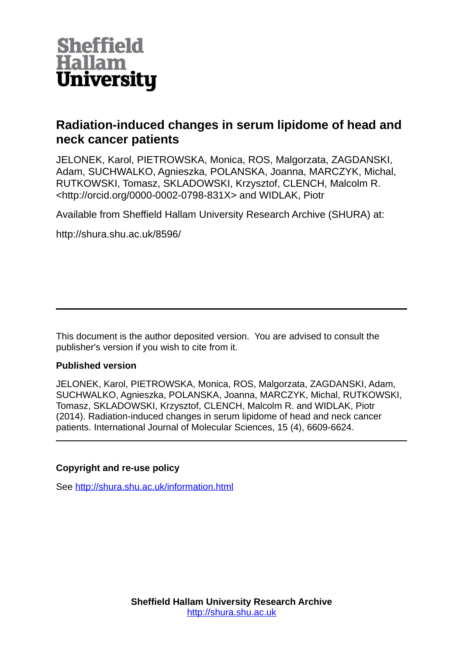

# **Radiation-induced changes in serum lipidome of head and neck cancer patients**

JELONEK, Karol, PIETROWSKA, Monica, ROS, Malgorzata, ZAGDANSKI, Adam, SUCHWALKO, Agnieszka, POLANSKA, Joanna, MARCZYK, Michal, RUTKOWSKI, Tomasz, SKLADOWSKI, Krzysztof, CLENCH, Malcolm R. <http://orcid.org/0000-0002-0798-831X> and WIDLAK, Piotr

Available from Sheffield Hallam University Research Archive (SHURA) at:

http://shura.shu.ac.uk/8596/

This document is the author deposited version. You are advised to consult the publisher's version if you wish to cite from it.

# **Published version**

JELONEK, Karol, PIETROWSKA, Monica, ROS, Malgorzata, ZAGDANSKI, Adam, SUCHWALKO, Agnieszka, POLANSKA, Joanna, MARCZYK, Michal, RUTKOWSKI, Tomasz, SKLADOWSKI, Krzysztof, CLENCH, Malcolm R. and WIDLAK, Piotr (2014). Radiation-induced changes in serum lipidome of head and neck cancer patients. International Journal of Molecular Sciences, 15 (4), 6609-6624.

# **Copyright and re-use policy**

See<http://shura.shu.ac.uk/information.html>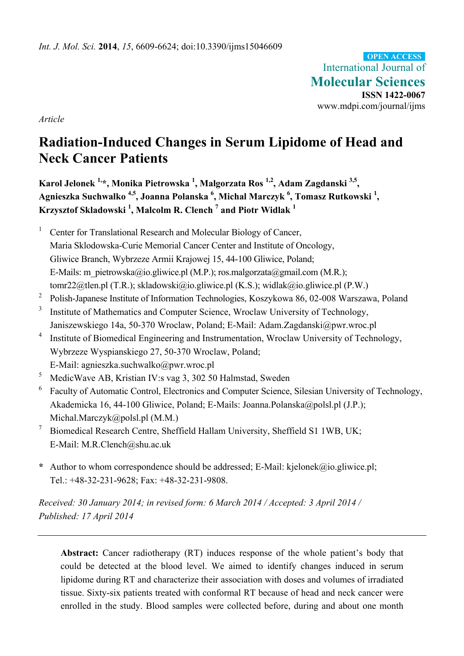International Journal of **Molecular Sciences ISSN 1422-0067**  www.mdpi.com/journal/ijms **OPEN ACCESS**

*Article* 

# **Radiation-Induced Changes in Serum Lipidome of Head and Neck Cancer Patients**

**Karol Jelonek 1,\*, Monika Pietrowska 1 , Malgorzata Ros 1,2, Adam Zagdanski 3,5,**  Agnieszka Suchwalko <sup>4,5</sup>, Joanna Polanska <sup>6</sup>, Michal Marczyk <sup>6</sup>, Tomasz Rutkowski <sup>1</sup>, **Krzysztof Skladowski 1 , Malcolm R. Clench 7 and Piotr Widlak 1**

1 Center for Translational Research and Molecular Biology of Cancer, Maria Sklodowska-Curie Memorial Cancer Center and Institute of Oncology, Gliwice Branch, Wybrzeze Armii Krajowej 15, 44-100 Gliwice, Poland; E-Mails: m\_pietrowska@io.gliwice.pl (M.P.); ros.malgorzata@gmail.com (M.R.); tomr22@tlen.pl (T.R.); skladowski@io.gliwice.pl (K.S.); widlak@io.gliwice.pl (P.W.)

- 2 Polish-Japanese Institute of Information Technologies, Koszykowa 86, 02-008 Warszawa, Poland
- 3 Institute of Mathematics and Computer Science, Wroclaw University of Technology, Janiszewskiego 14a, 50-370 Wroclaw, Poland; E-Mail: Adam.Zagdanski@pwr.wroc.pl
- 4 Institute of Biomedical Engineering and Instrumentation, Wroclaw University of Technology, Wybrzeze Wyspianskiego 27, 50-370 Wroclaw, Poland; E-Mail: agnieszka.suchwalko@pwr.wroc.pl
- 5 MedicWave AB, Kristian IV:s vag 3, 302 50 Halmstad, Sweden
- 6 Faculty of Automatic Control, Electronics and Computer Science, Silesian University of Technology, Akademicka 16, 44-100 Gliwice, Poland; E-Mails: Joanna.Polanska@polsl.pl (J.P.); Michal.Marczyk@polsl.pl (M.M.)
- 7 Biomedical Research Centre, Sheffield Hallam University, Sheffield S1 1WB, UK; E-Mail: M.R.Clench@shu.ac.uk
- **\*** Author to whom correspondence should be addressed; E-Mail: kjelonek@io.gliwice.pl; Tel.: +48-32-231-9628; Fax: +48-32-231-9808.

*Received: 30 January 2014; in revised form: 6 March 2014 / Accepted: 3 April 2014 / Published: 17 April 2014* 

**Abstract:** Cancer radiotherapy (RT) induces response of the whole patient's body that could be detected at the blood level. We aimed to identify changes induced in serum lipidome during RT and characterize their association with doses and volumes of irradiated tissue. Sixty-six patients treated with conformal RT because of head and neck cancer were enrolled in the study. Blood samples were collected before, during and about one month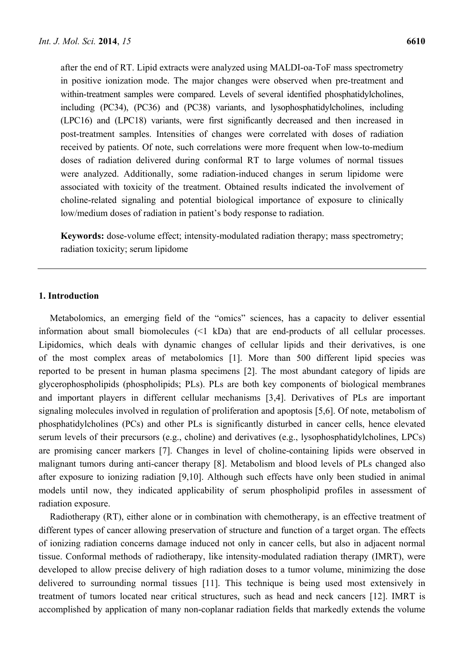after the end of RT. Lipid extracts were analyzed using MALDI-oa-ToF mass spectrometry in positive ionization mode. The major changes were observed when pre-treatment and within-treatment samples were compared. Levels of several identified phosphatidylcholines, including (PC34), (PC36) and (PC38) variants, and lysophosphatidylcholines, including (LPC16) and (LPC18) variants, were first significantly decreased and then increased in post-treatment samples. Intensities of changes were correlated with doses of radiation received by patients. Of note, such correlations were more frequent when low-to-medium doses of radiation delivered during conformal RT to large volumes of normal tissues were analyzed. Additionally, some radiation-induced changes in serum lipidome were associated with toxicity of the treatment. Obtained results indicated the involvement of choline-related signaling and potential biological importance of exposure to clinically low/medium doses of radiation in patient's body response to radiation.

**Keywords:** dose-volume effect; intensity-modulated radiation therapy; mass spectrometry; radiation toxicity; serum lipidome

#### **1. Introduction**

Metabolomics, an emerging field of the "omics" sciences, has a capacity to deliver essential information about small biomolecules (<1 kDa) that are end-products of all cellular processes. Lipidomics, which deals with dynamic changes of cellular lipids and their derivatives, is one of the most complex areas of metabolomics [1]. More than 500 different lipid species was reported to be present in human plasma specimens [2]. The most abundant category of lipids are glycerophospholipids (phospholipids; PLs). PLs are both key components of biological membranes and important players in different cellular mechanisms [3,4]. Derivatives of PLs are important signaling molecules involved in regulation of proliferation and apoptosis [5,6]. Of note, metabolism of phosphatidylcholines (PCs) and other PLs is significantly disturbed in cancer cells, hence elevated serum levels of their precursors (e.g., choline) and derivatives (e.g., lysophosphatidylcholines, LPCs) are promising cancer markers [7]. Changes in level of choline-containing lipids were observed in malignant tumors during anti-cancer therapy [8]. Metabolism and blood levels of PLs changed also after exposure to ionizing radiation [9,10]. Although such effects have only been studied in animal models until now, they indicated applicability of serum phospholipid profiles in assessment of radiation exposure.

Radiotherapy (RT), either alone or in combination with chemotherapy, is an effective treatment of different types of cancer allowing preservation of structure and function of a target organ. The effects of ionizing radiation concerns damage induced not only in cancer cells, but also in adjacent normal tissue. Conformal methods of radiotherapy, like intensity-modulated radiation therapy (IMRT), were developed to allow precise delivery of high radiation doses to a tumor volume, minimizing the dose delivered to surrounding normal tissues [11]. This technique is being used most extensively in treatment of tumors located near critical structures, such as head and neck cancers [12]. IMRT is accomplished by application of many non-coplanar radiation fields that markedly extends the volume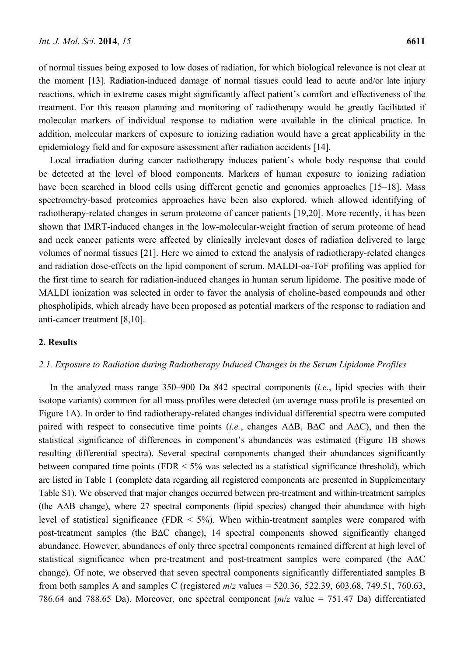of normal tissues being exposed to low doses of radiation, for which biological relevance is not clear at the moment [13]. Radiation-induced damage of normal tissues could lead to acute and/or late injury reactions, which in extreme cases might significantly affect patient's comfort and effectiveness of the treatment. For this reason planning and monitoring of radiotherapy would be greatly facilitated if molecular markers of individual response to radiation were available in the clinical practice. In addition, molecular markers of exposure to ionizing radiation would have a great applicability in the epidemiology field and for exposure assessment after radiation accidents [14].

Local irradiation during cancer radiotherapy induces patient's whole body response that could be detected at the level of blood components. Markers of human exposure to ionizing radiation have been searched in blood cells using different genetic and genomics approaches [15–18]. Mass spectrometry-based proteomics approaches have been also explored, which allowed identifying of radiotherapy-related changes in serum proteome of cancer patients [19,20]. More recently, it has been shown that IMRT-induced changes in the low-molecular-weight fraction of serum proteome of head and neck cancer patients were affected by clinically irrelevant doses of radiation delivered to large volumes of normal tissues [21]. Here we aimed to extend the analysis of radiotherapy-related changes and radiation dose-effects on the lipid component of serum. MALDI-oa-ToF profiling was applied for the first time to search for radiation-induced changes in human serum lipidome. The positive mode of MALDI ionization was selected in order to favor the analysis of choline-based compounds and other phospholipids, which already have been proposed as potential markers of the response to radiation and anti-cancer treatment [8,10].

#### **2. Results**

#### *2.1. Exposure to Radiation during Radiotherapy Induced Changes in the Serum Lipidome Profiles*

In the analyzed mass range 350–900 Da 842 spectral components (*i.e.*, lipid species with their isotope variants) common for all mass profiles were detected (an average mass profile is presented on Figure 1A). In order to find radiotherapy-related changes individual differential spectra were computed paired with respect to consecutive time points (*i.e.*, changes A∆B, B∆C and A∆C), and then the statistical significance of differences in component's abundances was estimated (Figure 1B shows resulting differential spectra). Several spectral components changed their abundances significantly between compared time points (FDR < 5% was selected as a statistical significance threshold), which are listed in Table 1 (complete data regarding all registered components are presented in Supplementary Table S1). We observed that major changes occurred between pre-treatment and within-treatment samples (the A∆B change), where 27 spectral components (lipid species) changed their abundance with high level of statistical significance (FDR  $\leq$  5%). When within-treatment samples were compared with post-treatment samples (the B∆C change), 14 spectral components showed significantly changed abundance. However, abundances of only three spectral components remained different at high level of statistical significance when pre-treatment and post-treatment samples were compared (the A∆C change). Of note, we observed that seven spectral components significantly differentiated samples B from both samples A and samples C (registered *m*/*z* values = 520.36, 522.39, 603.68, 749.51, 760.63, 786.64 and 788.65 Da). Moreover, one spectral component (*m*/*z* value = 751.47 Da) differentiated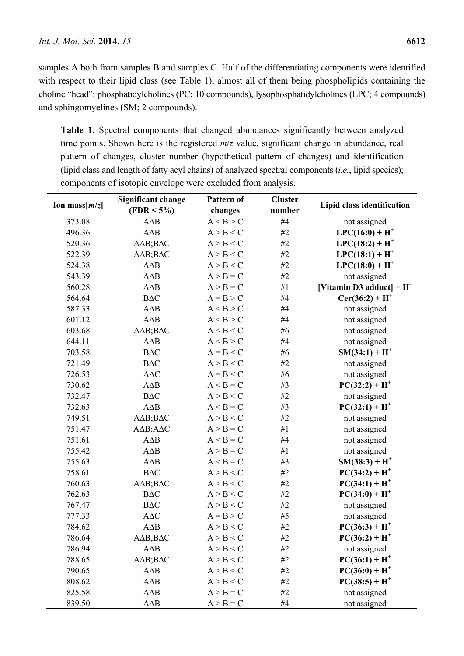samples A both from samples B and samples C. Half of the differentiating components were identified with respect to their lipid class (see Table 1), almost all of them being phospholipids containing the choline "head": phosphatidylcholines (PC; 10 compounds), lysophosphatidylcholines (LPC; 4 compounds) and sphingomyelines (SM; 2 compounds).

**Table 1.** Spectral components that changed abundances significantly between analyzed time points. Shown here is the registered *m*/*z* value, significant change in abundance, real pattern of changes, cluster number (hypothetical pattern of changes) and identification (lipid class and length of fatty acyl chains) of analyzed spectral components (*i.e.*, lipid species); components of isotopic envelope were excluded from analysis.

| Ion mass $[m/z]$ | <b>Significant change</b> | Pattern of  | <b>Cluster</b> | Lipid class identification  |  |
|------------------|---------------------------|-------------|----------------|-----------------------------|--|
|                  | $(FDR < 5\%)$             | changes     | number         |                             |  |
| 373.08           | $A\Delta B$               | A < B > C   | #4             | not assigned                |  |
| 496.36           | $A\Delta B$               | A > B < C   | #2             | $LPC(16:0) + H^+$           |  |
| 520.36           | $A\Delta B$ ; $B\Delta C$ | A > B < C   | #2             | $LPC(18:2) + H^+$           |  |
| 522.39           | $A\Delta B$ ; $B\Delta C$ | A > B < C   | #2             | $LPC(18:1) + H^+$           |  |
| 524.38           | $A\Delta B$               | A > B < C   | #2             | $LPC(18:0) + H^+$           |  |
| 543.39           | $A\Delta B$               | $A > B = C$ | #2             | not assigned                |  |
| 560.28           | $A\Delta B$               | $A > B = C$ | $\#1$          | [Vitamin D3 adduct] + $H^+$ |  |
| 564.64           | $B\Delta C$               | $A = B > C$ | #4             | $Cer(36:2) + H^+$           |  |
| 587.33           | $A\Delta B$               | A < B > C   | $\#4$          | not assigned                |  |
| 601.12           | $A\Delta B$               | A < B > C   | #4             | not assigned                |  |
| 603.68           | $A\Delta B$ ; $B\Delta C$ | A < B < C   | #6             | not assigned                |  |
| 644.11           | $A\Delta B$               | A < B > C   | $\#4$          | not assigned                |  |
| 703.58           | $B\Delta C$               | $A = B < C$ | #6             | $SM(34:1) + H^+$            |  |
| 721.49           | BAC                       | A > B < C   | #2             | not assigned                |  |
| 726.53           | $A\Delta C$               | $A = B < C$ | #6             | not assigned                |  |
| 730.62           | $A\Delta B$               | $A < B = C$ | #3             | $PC(32:2) + H^+$            |  |
| 732.47           | $B\Delta C$               | A > B < C   | #2             | not assigned                |  |
| 732.63           | $A\Delta B$               | $A < B = C$ | #3             | $PC(32:1) + H^+$            |  |
| 749.51           | $A\Delta B$ ; $B\Delta C$ | A > B < C   | $\#2$          | not assigned                |  |
| 751.47           | ΑΔΒ;ΑΔΟ                   | $A > B = C$ | #1             | not assigned                |  |
| 751.61           | $A\Delta B$               | $A < B = C$ | #4             | not assigned                |  |
| 755.42           | $A\Delta B$               | $A > B = C$ | #1             | not assigned                |  |
| 755.63           | $A\Delta B$               | $A < B = C$ | #3             | $SM(38:3) + H^+$            |  |
| 758.61           | $B\Delta C$               | A > B < C   | $\#2$          | $PC(34:2) + H^+$            |  |
| 760.63           | $A\Delta B$ ; $B\Delta C$ | A > B < C   | #2             | $PC(34:1) + H^+$            |  |
| 762.63           | $B\Delta C$               | A > B < C   | #2             | $PC(34:0) + H^+$            |  |
| 767.47           | $B\Delta C$               | A > B < C   | #2             | not assigned                |  |
| 777.33           | $A\Delta C$               | $A = B > C$ | #5             | not assigned                |  |
| 784.62           | $A\Delta B$               | A > B < C   | #2             | $PC(36:3) + H^+$            |  |
| 786.64           | $A\Delta B$ ; $B\Delta C$ | A > B < C   | #2             | $PC(36:2) + H^+$            |  |
| 786.94           | $A\Delta B$               | A > B < C   | #2             | not assigned                |  |
| 788.65           | $A\Delta B$ ; $B\Delta C$ | A > B < C   | #2             | $PC(36:1) + H^+$            |  |
| 790.65           | $A\Delta B$               | A > B < C   | #2             | $PC(36:0) + H^+$            |  |
| 808.62           | $A\Delta B$               | A > B < C   | #2             | $PC(38:5) + H^+$            |  |
| 825.58           | $A\Delta B$               | $A > B = C$ | #2             | not assigned                |  |
| 839.50           | $A\Delta B$               | $A > B = C$ | #4             | not assigned                |  |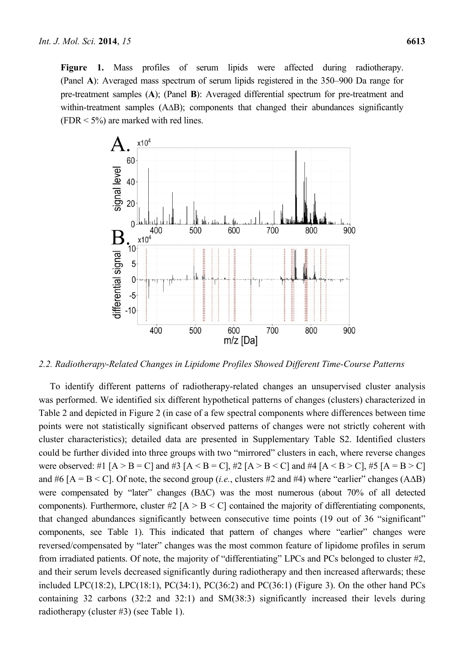Figure 1. Mass profiles of serum lipids were affected during radiotherapy. (Panel **A**): Averaged mass spectrum of serum lipids registered in the 350–900 Da range for pre-treatment samples (**A**); (Panel **B**): Averaged differential spectrum for pre-treatment and within-treatment samples (A∆B); components that changed their abundances significantly  $(FDR < 5\%)$  are marked with red lines.



*2.2. Radiotherapy-Related Changes in Lipidome Profiles Showed Different Time-Course Patterns* 

To identify different patterns of radiotherapy-related changes an unsupervised cluster analysis was performed. We identified six different hypothetical patterns of changes (clusters) characterized in Table 2 and depicted in Figure 2 (in case of a few spectral components where differences between time points were not statistically significant observed patterns of changes were not strictly coherent with cluster characteristics); detailed data are presented in Supplementary Table S2. Identified clusters could be further divided into three groups with two "mirrored" clusters in each, where reverse changes were observed: #1  $[A > B = C]$  and #3  $[A < B = C]$ , #2  $[A > B < C]$  and #4  $[A < B > C]$ , #5  $[A = B > C]$ and #6 [A = B < C]. Of note, the second group (*i.e.*, clusters #2 and #4) where "earlier" changes (A∆B) were compensated by "later" changes (B∆C) was the most numerous (about 70% of all detected components). Furthermore, cluster  $#2$  [A  $>$  B  $\lt C$ ] contained the majority of differentiating components, that changed abundances significantly between consecutive time points (19 out of 36 "significant" components, see Table 1). This indicated that pattern of changes where "earlier" changes were reversed/compensated by "later" changes was the most common feature of lipidome profiles in serum from irradiated patients. Of note, the majority of "differentiating" LPCs and PCs belonged to cluster #2, and their serum levels decreased significantly during radiotherapy and then increased afterwards; these included LPC(18:2), LPC(18:1), PC(34:1), PC(36:2) and PC(36:1) (Figure 3). On the other hand PCs containing 32 carbons (32:2 and 32:1) and SM(38:3) significantly increased their levels during radiotherapy (cluster #3) (see Table 1).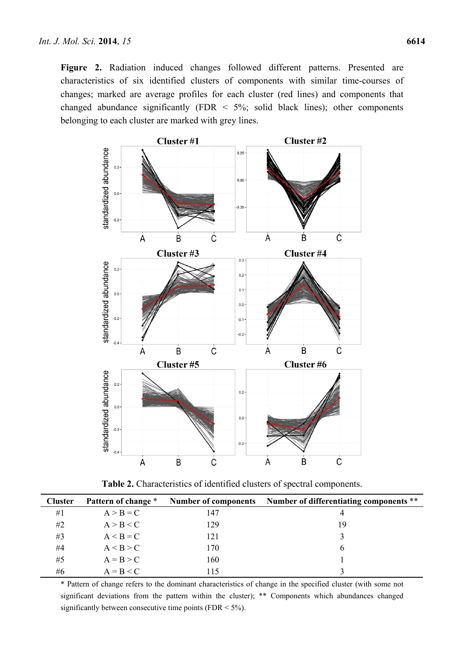**Figure 2.** Radiation induced changes followed different patterns. Presented are characteristics of six identified clusters of components with similar time-courses of changes; marked are average profiles for each cluster (red lines) and components that changed abundance significantly (FDR  $\leq$  5%; solid black lines); other components belonging to each cluster are marked with grey lines.



**Table 2.** Characteristics of identified clusters of spectral components.

| <b>Cluster</b> | Pattern of change * |     | Number of components Number of differentiating components ** |
|----------------|---------------------|-----|--------------------------------------------------------------|
| #1             | $A > B = C$         | 147 | 4                                                            |
| #2             | A > B < C           | 129 | 19                                                           |
| #3             | $A < B = C$         | 121 | 3                                                            |
| #4             | A < B > C           | 170 | $\mathbf{a}$                                                 |
| #5             | $A = B > C$         | 160 |                                                              |
| #6             | $A = B < C$         | 15  |                                                              |

\* Pattern of change refers to the dominant characteristics of change in the specified cluster (with some not significant deviations from the pattern within the cluster); \*\* Components which abundances changed significantly between consecutive time points (FDR  $\leq$  5%).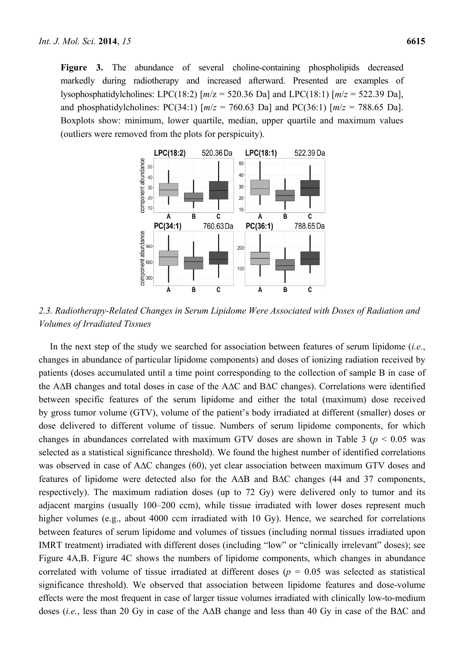**Figure 3.** The abundance of several choline-containing phospholipids decreased markedly during radiotherapy and increased afterward. Presented are examples of lysophosphatidylcholines: LPC(18:2)  $[m/z = 520.36 \text{ Da}]$  and LPC(18:1)  $[m/z = 522.39 \text{ Da}]$ , and phosphatidylcholines: PC(34:1)  $[m/z = 760.63 \text{ Da}]$  and PC(36:1)  $[m/z = 788.65 \text{ Da}]$ . Boxplots show: minimum, lower quartile, median, upper quartile and maximum values (outliers were removed from the plots for perspicuity).



*2.3. Radiotherapy-Related Changes in Serum Lipidome Were Associated with Doses of Radiation and Volumes of Irradiated Tissues* 

In the next step of the study we searched for association between features of serum lipidome (*i.e.*, changes in abundance of particular lipidome components) and doses of ionizing radiation received by patients (doses accumulated until a time point corresponding to the collection of sample B in case of the A∆B changes and total doses in case of the A∆C and B∆C changes). Correlations were identified between specific features of the serum lipidome and either the total (maximum) dose received by gross tumor volume (GTV), volume of the patient's body irradiated at different (smaller) doses or dose delivered to different volume of tissue. Numbers of serum lipidome components, for which changes in abundances correlated with maximum GTV doses are shown in Table 3 ( $p < 0.05$  was selected as a statistical significance threshold). We found the highest number of identified correlations was observed in case of A∆C changes (60), yet clear association between maximum GTV doses and features of lipidome were detected also for the A∆B and B∆C changes (44 and 37 components, respectively). The maximum radiation doses (up to 72 Gy) were delivered only to tumor and its adjacent margins (usually 100–200 ccm), while tissue irradiated with lower doses represent much higher volumes (e.g., about 4000 ccm irradiated with 10 Gy). Hence, we searched for correlations between features of serum lipidome and volumes of tissues (including normal tissues irradiated upon IMRT treatment) irradiated with different doses (including "low" or "clinically irrelevant" doses); see Figure 4A,B. Figure 4C shows the numbers of lipidome components, which changes in abundance correlated with volume of tissue irradiated at different doses ( $p = 0.05$  was selected as statistical significance threshold). We observed that association between lipidome features and dose-volume effects were the most frequent in case of larger tissue volumes irradiated with clinically low-to-medium doses (*i.e.*, less than 20 Gy in case of the A∆B change and less than 40 Gy in case of the B∆C and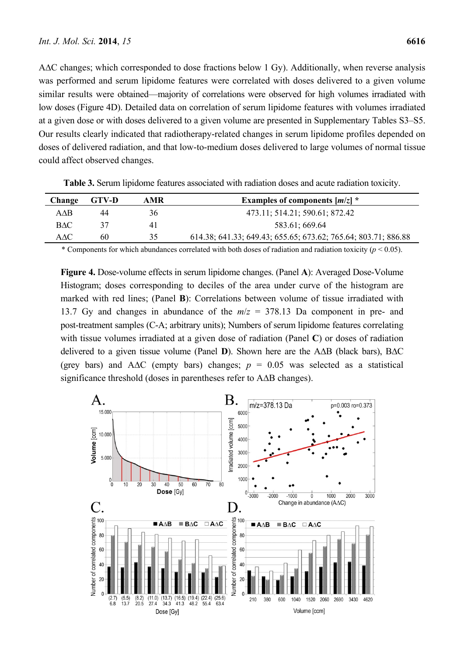A∆C changes; which corresponded to dose fractions below 1 Gy). Additionally, when reverse analysis was performed and serum lipidome features were correlated with doses delivered to a given volume similar results were obtained—majority of correlations were observed for high volumes irradiated with low doses (Figure 4D). Detailed data on correlation of serum lipidome features with volumes irradiated at a given dose or with doses delivered to a given volume are presented in Supplementary Tables S3–S5. Our results clearly indicated that radiotherapy-related changes in serum lipidome profiles depended on doses of delivered radiation, and that low-to-medium doses delivered to large volumes of normal tissue could affect observed changes.

| <b>Change</b> | GTV-D | AMR | Examples of components $[m/z]$ *                               |
|---------------|-------|-----|----------------------------------------------------------------|
| AAB           | 44    | 36  | 473.11; 514.21; 590.61; 872.42                                 |
| BAC-          | 37    | 41  | 583.61; 669.64                                                 |
| AAC           | 60    | 35  | 614.38; 641.33; 649.43; 655.65; 673.62; 765.64; 803.71; 886.88 |

**Table 3.** Serum lipidome features associated with radiation doses and acute radiation toxicity.

\* Components for which abundances correlated with both doses of radiation and radiation toxicity ( $p < 0.05$ ).

**Figure 4.** Dose-volume effects in serum lipidome changes. (Panel **A**): Averaged Dose-Volume Histogram; doses corresponding to deciles of the area under curve of the histogram are marked with red lines; (Panel **B**): Correlations between volume of tissue irradiated with 13.7 Gy and changes in abundance of the *m*/*z* = 378.13 Da component in pre- and post-treatment samples (C-A; arbitrary units); Numbers of serum lipidome features correlating with tissue volumes irradiated at a given dose of radiation (Panel **C**) or doses of radiation delivered to a given tissue volume (Panel **D**). Shown here are the A∆B (black bars), B∆C (grey bars) and A∆C (empty bars) changes; *p* = 0.05 was selected as a statistical significance threshold (doses in parentheses refer to A∆B changes).

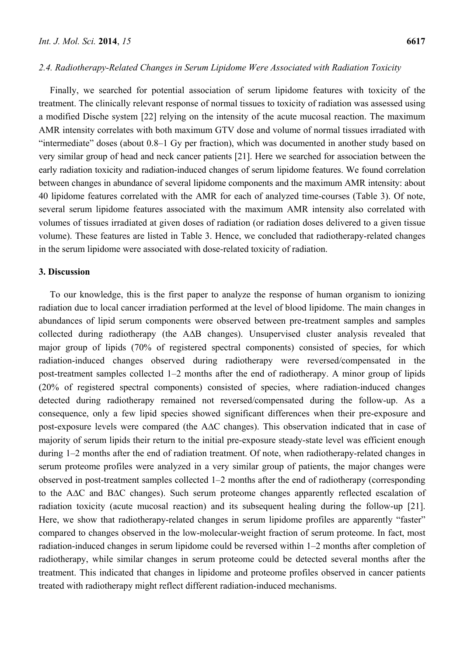#### *2.4. Radiotherapy-Related Changes in Serum Lipidome Were Associated with Radiation Toxicity*

Finally, we searched for potential association of serum lipidome features with toxicity of the treatment. The clinically relevant response of normal tissues to toxicity of radiation was assessed using a modified Dische system [22] relying on the intensity of the acute mucosal reaction. The maximum AMR intensity correlates with both maximum GTV dose and volume of normal tissues irradiated with "intermediate" doses (about 0.8–1 Gy per fraction), which was documented in another study based on very similar group of head and neck cancer patients [21]. Here we searched for association between the early radiation toxicity and radiation-induced changes of serum lipidome features. We found correlation between changes in abundance of several lipidome components and the maximum AMR intensity: about 40 lipidome features correlated with the AMR for each of analyzed time-courses (Table 3). Of note, several serum lipidome features associated with the maximum AMR intensity also correlated with volumes of tissues irradiated at given doses of radiation (or radiation doses delivered to a given tissue volume). These features are listed in Table 3. Hence, we concluded that radiotherapy-related changes in the serum lipidome were associated with dose-related toxicity of radiation.

#### **3. Discussion**

To our knowledge, this is the first paper to analyze the response of human organism to ionizing radiation due to local cancer irradiation performed at the level of blood lipidome. The main changes in abundances of lipid serum components were observed between pre-treatment samples and samples collected during radiotherapy (the A∆B changes). Unsupervised cluster analysis revealed that major group of lipids (70% of registered spectral components) consisted of species, for which radiation-induced changes observed during radiotherapy were reversed/compensated in the post-treatment samples collected 1–2 months after the end of radiotherapy. A minor group of lipids (20% of registered spectral components) consisted of species, where radiation-induced changes detected during radiotherapy remained not reversed/compensated during the follow-up. As a consequence, only a few lipid species showed significant differences when their pre-exposure and post-exposure levels were compared (the A∆C changes). This observation indicated that in case of majority of serum lipids their return to the initial pre-exposure steady-state level was efficient enough during 1–2 months after the end of radiation treatment. Of note, when radiotherapy-related changes in serum proteome profiles were analyzed in a very similar group of patients, the major changes were observed in post-treatment samples collected 1–2 months after the end of radiotherapy (corresponding to the A∆C and B∆C changes). Such serum proteome changes apparently reflected escalation of radiation toxicity (acute mucosal reaction) and its subsequent healing during the follow-up [21]. Here, we show that radiotherapy-related changes in serum lipidome profiles are apparently "faster" compared to changes observed in the low-molecular-weight fraction of serum proteome. In fact, most radiation-induced changes in serum lipidome could be reversed within 1–2 months after completion of radiotherapy, while similar changes in serum proteome could be detected several months after the treatment. This indicated that changes in lipidome and proteome profiles observed in cancer patients treated with radiotherapy might reflect different radiation-induced mechanisms.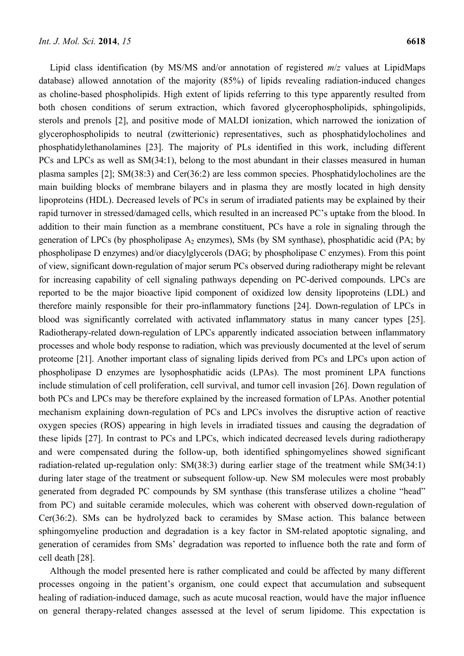Lipid class identification (by MS/MS and/or annotation of registered *m*/*z* values at LipidMaps database) allowed annotation of the majority (85%) of lipids revealing radiation-induced changes as choline-based phospholipids. High extent of lipids referring to this type apparently resulted from both chosen conditions of serum extraction, which favored glycerophospholipids, sphingolipids, sterols and prenols [2], and positive mode of MALDI ionization, which narrowed the ionization of glycerophospholipids to neutral (zwitterionic) representatives, such as phosphatidylocholines and phosphatidylethanolamines [23]. The majority of PLs identified in this work, including different PCs and LPCs as well as SM(34:1), belong to the most abundant in their classes measured in human plasma samples [2]; SM(38:3) and Cer(36:2) are less common species. Phosphatidylocholines are the main building blocks of membrane bilayers and in plasma they are mostly located in high density lipoproteins (HDL). Decreased levels of PCs in serum of irradiated patients may be explained by their rapid turnover in stressed/damaged cells, which resulted in an increased PC's uptake from the blood. In addition to their main function as a membrane constituent, PCs have a role in signaling through the generation of LPCs (by phospholipase  $A_2$  enzymes), SMs (by SM synthase), phosphatidic acid (PA; by phospholipase D enzymes) and/or diacylglycerols (DAG; by phospholipase C enzymes). From this point of view, significant down-regulation of major serum PCs observed during radiotherapy might be relevant for increasing capability of cell signaling pathways depending on PC-derived compounds. LPCs are reported to be the major bioactive lipid component of oxidized low density lipoproteins (LDL) and therefore mainly responsible for their pro-inflammatory functions [24]. Down-regulation of LPCs in blood was significantly correlated with activated inflammatory status in many cancer types [25]. Radiotherapy-related down-regulation of LPCs apparently indicated association between inflammatory processes and whole body response to radiation, which was previously documented at the level of serum proteome [21]. Another important class of signaling lipids derived from PCs and LPCs upon action of phospholipase D enzymes are lysophosphatidic acids (LPAs). The most prominent LPA functions include stimulation of cell proliferation, cell survival, and tumor cell invasion [26]. Down regulation of both PCs and LPCs may be therefore explained by the increased formation of LPAs. Another potential mechanism explaining down-regulation of PCs and LPCs involves the disruptive action of reactive oxygen species (ROS) appearing in high levels in irradiated tissues and causing the degradation of these lipids [27]. In contrast to PCs and LPCs, which indicated decreased levels during radiotherapy and were compensated during the follow-up, both identified sphingomyelines showed significant radiation-related up-regulation only: SM(38:3) during earlier stage of the treatment while SM(34:1) during later stage of the treatment or subsequent follow-up. New SM molecules were most probably generated from degraded PC compounds by SM synthase (this transferase utilizes a choline "head" from PC) and suitable ceramide molecules, which was coherent with observed down-regulation of Cer(36:2). SMs can be hydrolyzed back to ceramides by SMase action. This balance between sphingomyeline production and degradation is a key factor in SM-related apoptotic signaling, and generation of ceramides from SMs' degradation was reported to influence both the rate and form of cell death [28].

Although the model presented here is rather complicated and could be affected by many different processes ongoing in the patient's organism, one could expect that accumulation and subsequent healing of radiation-induced damage, such as acute mucosal reaction, would have the major influence on general therapy-related changes assessed at the level of serum lipidome. This expectation is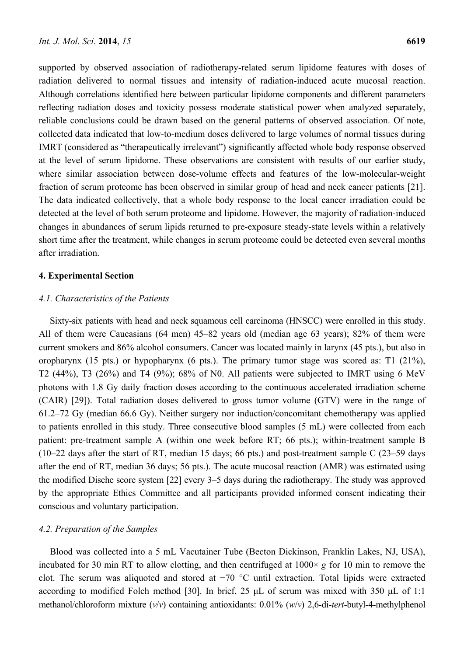supported by observed association of radiotherapy-related serum lipidome features with doses of radiation delivered to normal tissues and intensity of radiation-induced acute mucosal reaction. Although correlations identified here between particular lipidome components and different parameters reflecting radiation doses and toxicity possess moderate statistical power when analyzed separately, reliable conclusions could be drawn based on the general patterns of observed association. Of note, collected data indicated that low-to-medium doses delivered to large volumes of normal tissues during IMRT (considered as "therapeutically irrelevant") significantly affected whole body response observed at the level of serum lipidome. These observations are consistent with results of our earlier study, where similar association between dose-volume effects and features of the low-molecular-weight fraction of serum proteome has been observed in similar group of head and neck cancer patients [21]. The data indicated collectively, that a whole body response to the local cancer irradiation could be detected at the level of both serum proteome and lipidome. However, the majority of radiation-induced changes in abundances of serum lipids returned to pre-exposure steady-state levels within a relatively short time after the treatment, while changes in serum proteome could be detected even several months after irradiation.

#### **4. Experimental Section**

#### *4.1. Characteristics of the Patients*

Sixty-six patients with head and neck squamous cell carcinoma (HNSCC) were enrolled in this study. All of them were Caucasians (64 men) 45–82 years old (median age 63 years); 82% of them were current smokers and 86% alcohol consumers. Cancer was located mainly in larynx (45 pts.), but also in oropharynx (15 pts.) or hypopharynx (6 pts.). The primary tumor stage was scored as: T1 (21%), T2 (44%), T3 (26%) and T4 (9%); 68% of N0. All patients were subjected to IMRT using 6 MeV photons with 1.8 Gy daily fraction doses according to the continuous accelerated irradiation scheme (CAIR) [29]). Total radiation doses delivered to gross tumor volume (GTV) were in the range of 61.2–72 Gy (median 66.6 Gy). Neither surgery nor induction/concomitant chemotherapy was applied to patients enrolled in this study. Three consecutive blood samples (5 mL) were collected from each patient: pre-treatment sample A (within one week before RT; 66 pts.); within-treatment sample B (10–22 days after the start of RT, median 15 days; 66 pts.) and post-treatment sample C (23–59 days after the end of RT, median 36 days; 56 pts.). The acute mucosal reaction (AMR) was estimated using the modified Dische score system [22] every 3–5 days during the radiotherapy. The study was approved by the appropriate Ethics Committee and all participants provided informed consent indicating their conscious and voluntary participation.

#### *4.2. Preparation of the Samples*

Blood was collected into a 5 mL Vacutainer Tube (Becton Dickinson, Franklin Lakes, NJ, USA), incubated for 30 min RT to allow clotting, and then centrifuged at  $1000 \times g$  for 10 min to remove the clot. The serum was aliquoted and stored at −70 °C until extraction. Total lipids were extracted according to modified Folch method [30]. In brief, 25 μL of serum was mixed with 350 μL of 1:1 methanol/chloroform mixture (*v*/*v*) containing antioxidants: 0.01% (*w*/*v*) 2,6-di-*tert*-butyl-4-methylphenol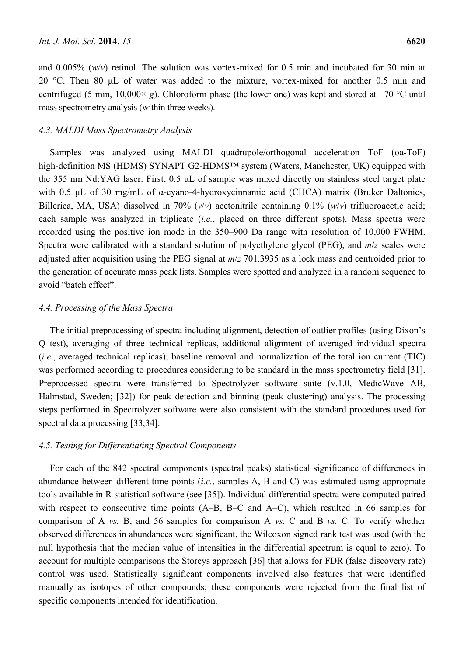and 0.005% (*w*/*v*) retinol. The solution was vortex-mixed for 0.5 min and incubated for 30 min at 20 °C. Then 80 μL of water was added to the mixture, vortex-mixed for another 0.5 min and centrifuged (5 min, 10,000× *g*). Chloroform phase (the lower one) was kept and stored at −70 °C until mass spectrometry analysis (within three weeks).

#### *4.3. MALDI Mass Spectrometry Analysis*

Samples was analyzed using MALDI quadrupole/orthogonal acceleration ToF (oa-ToF) high-definition MS (HDMS) SYNAPT G2-HDMS™ system (Waters, Manchester, UK) equipped with the 355 nm Nd:YAG laser. First, 0.5 μL of sample was mixed directly on stainless steel target plate with 0.5 μL of 30 mg/mL of α-cyano-4-hydroxycinnamic acid (CHCA) matrix (Bruker Daltonics, Billerica, MA, USA) dissolved in 70% (*v*/*v*) acetonitrile containing 0.1% (*w*/*v*) trifluoroacetic acid; each sample was analyzed in triplicate (*i.e.*, placed on three different spots). Mass spectra were recorded using the positive ion mode in the 350–900 Da range with resolution of 10,000 FWHM. Spectra were calibrated with a standard solution of polyethylene glycol (PEG), and *m*/*z* scales were adjusted after acquisition using the PEG signal at *m*/*z* 701.3935 as a lock mass and centroided prior to the generation of accurate mass peak lists. Samples were spotted and analyzed in a random sequence to avoid "batch effect".

#### *4.4. Processing of the Mass Spectra*

The initial preprocessing of spectra including alignment, detection of outlier profiles (using Dixon's Q test), averaging of three technical replicas, additional alignment of averaged individual spectra (*i.e.*, averaged technical replicas), baseline removal and normalization of the total ion current (TIC) was performed according to procedures considering to be standard in the mass spectrometry field [31]. Preprocessed spectra were transferred to Spectrolyzer software suite (v.1.0, MedicWave AB, Halmstad, Sweden; [32]) for peak detection and binning (peak clustering) analysis. The processing steps performed in Spectrolyzer software were also consistent with the standard procedures used for spectral data processing [33,34].

## *4.5. Testing for Differentiating Spectral Components*

For each of the 842 spectral components (spectral peaks) statistical significance of differences in abundance between different time points (*i.e.*, samples A, B and C) was estimated using appropriate tools available in R statistical software (see [35]). Individual differential spectra were computed paired with respect to consecutive time points (A–B, B–C and A–C), which resulted in 66 samples for comparison of A *vs.* B, and 56 samples for comparison A *vs.* C and B *vs.* C. To verify whether observed differences in abundances were significant, the Wilcoxon signed rank test was used (with the null hypothesis that the median value of intensities in the differential spectrum is equal to zero). To account for multiple comparisons the Storeys approach [36] that allows for FDR (false discovery rate) control was used. Statistically significant components involved also features that were identified manually as isotopes of other compounds; these components were rejected from the final list of specific components intended for identification.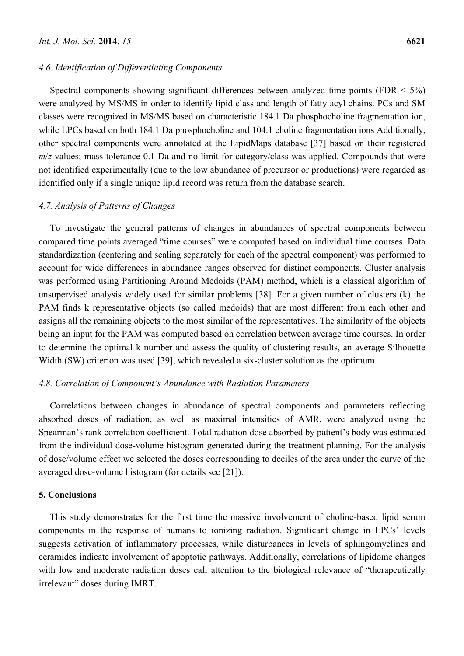#### *4.6. Identification of Differentiating Components*

Spectral components showing significant differences between analyzed time points (FDR  $\leq$  5%) were analyzed by MS/MS in order to identify lipid class and length of fatty acyl chains. PCs and SM classes were recognized in MS/MS based on characteristic 184.1 Da phosphocholine fragmentation ion, while LPCs based on both 184.1 Da phosphocholine and 104.1 choline fragmentation ions Additionally, other spectral components were annotated at the LipidMaps database [37] based on their registered *m/z* values; mass tolerance 0.1 Da and no limit for category/class was applied. Compounds that were not identified experimentally (due to the low abundance of precursor or productions) were regarded as identified only if a single unique lipid record was return from the database search.

#### *4.7. Analysis of Patterns of Changes*

To investigate the general patterns of changes in abundances of spectral components between compared time points averaged "time courses" were computed based on individual time courses. Data standardization (centering and scaling separately for each of the spectral component) was performed to account for wide differences in abundance ranges observed for distinct components. Cluster analysis was performed using Partitioning Around Medoids (PAM) method, which is a classical algorithm of unsupervised analysis widely used for similar problems [38]. For a given number of clusters (k) the PAM finds k representative objects (so called medoids) that are most different from each other and assigns all the remaining objects to the most similar of the representatives. The similarity of the objects being an input for the PAM was computed based on correlation between average time courses. In order to determine the optimal k number and assess the quality of clustering results, an average Silhouette Width (SW) criterion was used [39], which revealed a six-cluster solution as the optimum.

#### *4.8. Correlation of Component's Abundance with Radiation Parameters*

Correlations between changes in abundance of spectral components and parameters reflecting absorbed doses of radiation, as well as maximal intensities of AMR, were analyzed using the Spearman's rank correlation coefficient. Total radiation dose absorbed by patient's body was estimated from the individual dose-volume histogram generated during the treatment planning. For the analysis of dose/volume effect we selected the doses corresponding to deciles of the area under the curve of the averaged dose-volume histogram (for details see [21]).

#### **5. Conclusions**

This study demonstrates for the first time the massive involvement of choline-based lipid serum components in the response of humans to ionizing radiation. Significant change in LPCs' levels suggests activation of inflammatory processes, while disturbances in levels of sphingomyelines and ceramides indicate involvement of apoptotic pathways. Additionally, correlations of lipidome changes with low and moderate radiation doses call attention to the biological relevance of "therapeutically irrelevant" doses during IMRT.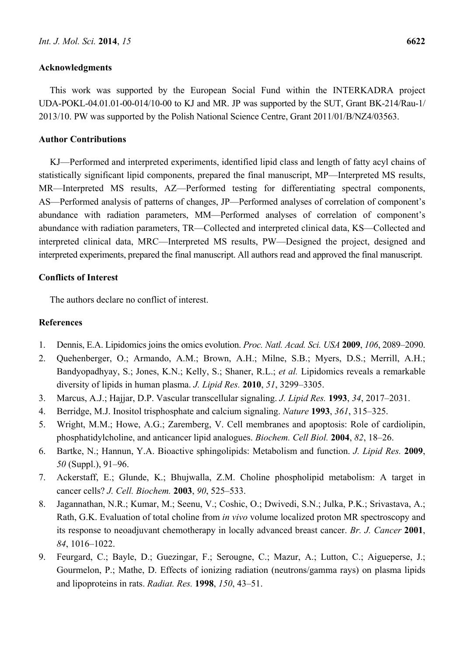#### **Acknowledgments**

This work was supported by the European Social Fund within the INTERKADRA project UDA-POKL-04.01.01-00-014/10-00 to KJ and MR. JP was supported by the SUT, Grant BK-214/Rau-1/ 2013/10. PW was supported by the Polish National Science Centre, Grant 2011/01/B/NZ4/03563.

#### **Author Contributions**

KJ—Performed and interpreted experiments, identified lipid class and length of fatty acyl chains of statistically significant lipid components, prepared the final manuscript, MP—Interpreted MS results, MR—Interpreted MS results, AZ—Performed testing for differentiating spectral components, AS—Performed analysis of patterns of changes, JP—Performed analyses of correlation of component's abundance with radiation parameters, MM—Performed analyses of correlation of component's abundance with radiation parameters, TR—Collected and interpreted clinical data, KS—Collected and interpreted clinical data, MRC—Interpreted MS results, PW—Designed the project, designed and interpreted experiments, prepared the final manuscript. All authors read and approved the final manuscript.

#### **Conflicts of Interest**

The authors declare no conflict of interest.

## **References**

- 1. Dennis, E.A. Lipidomics joins the omics evolution. *Proc. Natl. Acad. Sci. USA* **2009**, *106*, 2089–2090.
- 2. Quehenberger, O.; Armando, A.M.; Brown, A.H.; Milne, S.B.; Myers, D.S.; Merrill, A.H.; Bandyopadhyay, S.; Jones, K.N.; Kelly, S.; Shaner, R.L.; *et al.* Lipidomics reveals a remarkable diversity of lipids in human plasma. *J. Lipid Res.* **2010**, *51*, 3299–3305.
- 3. Marcus, A.J.; Hajjar, D.P. Vascular transcellular signaling. *J. Lipid Res.* **1993**, *34*, 2017–2031.
- 4. Berridge, M.J. Inositol trisphosphate and calcium signaling. *Nature* **1993**, *361*, 315–325.
- 5. Wright, M.M.; Howe, A.G.; Zaremberg, V. Cell membranes and apoptosis: Role of cardiolipin, phosphatidylcholine, and anticancer lipid analogues. *Biochem. Cell Biol.* **2004**, *82*, 18–26.
- 6. Bartke, N.; Hannun, Y.A. Bioactive sphingolipids: Metabolism and function. *J. Lipid Res.* **2009**, *50* (Suppl.), 91–96.
- 7. Ackerstaff, E.; Glunde, K.; Bhujwalla, Z.M. Choline phospholipid metabolism: A target in cancer cells? *J. Cell. Biochem.* **2003**, *90*, 525–533.
- 8. Jagannathan, N.R.; Kumar, M.; Seenu, V.; Coshic, O.; Dwivedi, S.N.; Julka, P.K.; Srivastava, A.; Rath, G.K. Evaluation of total choline from *in vivo* volume localized proton MR spectroscopy and its response to neoadjuvant chemotherapy in locally advanced breast cancer. *Br. J. Cancer* **2001**, *84*, 1016–1022.
- 9. Feurgard, C.; Bayle, D.; Guezingar, F.; Serougne, C.; Mazur, A.; Lutton, C.; Aigueperse, J.; Gourmelon, P.; Mathe, D. Effects of ionizing radiation (neutrons/gamma rays) on plasma lipids and lipoproteins in rats. *Radiat. Res.* **1998**, *150*, 43–51.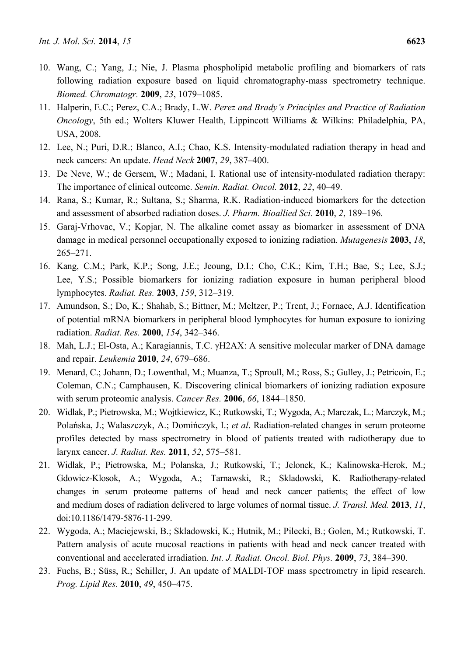- 10. Wang, C.; Yang, J.; Nie, J. Plasma phospholipid metabolic profiling and biomarkers of rats following radiation exposure based on liquid chromatography-mass spectrometry technique. *Biomed. Chromatogr.* **2009**, *23*, 1079–1085.
- 11. Halperin, E.C.; Perez, C.A.; Brady, L.W. *Perez and Brady's Principles and Practice of Radiation Oncology*, 5th ed.; Wolters Kluwer Health, Lippincott Williams & Wilkins: Philadelphia, PA, USA, 2008.
- 12. Lee, N.; Puri, D.R.; Blanco, A.I.; Chao, K.S. Intensity-modulated radiation therapy in head and neck cancers: An update. *Head Neck* **2007**, *29*, 387–400.
- 13. De Neve, W.; de Gersem, W.; Madani, I. Rational use of intensity-modulated radiation therapy: The importance of clinical outcome. *Semin. Radiat. Oncol.* **2012**, *22*, 40–49.
- 14. Rana, S.; Kumar, R.; Sultana, S.; Sharma, R.K. Radiation-induced biomarkers for the detection and assessment of absorbed radiation doses. *J. Pharm. Bioallied Sci.* **2010**, *2*, 189–196.
- 15. Garaj-Vrhovac, V.; Kopjar, N. The alkaline comet assay as biomarker in assessment of DNA damage in medical personnel occupationally exposed to ionizing radiation. *Mutagenesis* **2003**, *18*, 265–271.
- 16. Kang, C.M.; Park, K.P.; Song, J.E.; Jeoung, D.I.; Cho, C.K.; Kim, T.H.; Bae, S.; Lee, S.J.; Lee, Y.S.; Possible biomarkers for ionizing radiation exposure in human peripheral blood lymphocytes. *Radiat. Res.* **2003**, *159*, 312–319.
- 17. Amundson, S.; Do, K.; Shahab, S.; Bittner, M.; Meltzer, P.; Trent, J.; Fornace, A.J. Identification of potential mRNA biomarkers in peripheral blood lymphocytes for human exposure to ionizing radiation. *Radiat. Res.* **2000**, *154*, 342–346.
- 18. Mah, L.J.; El-Osta, A.; Karagiannis, T.C. γH2AX: A sensitive molecular marker of DNA damage and repair. *Leukemia* **2010**, *24*, 679–686.
- 19. Menard, C.; Johann, D.; Lowenthal, M.; Muanza, T.; Sproull, M.; Ross, S.; Gulley, J.; Petricoin, E.; Coleman, C.N.; Camphausen, K. Discovering clinical biomarkers of ionizing radiation exposure with serum proteomic analysis. *Cancer Res.* **2006**, *66*, 1844–1850.
- 20. Widlak, P.; Pietrowska, M.; Wojtkiewicz, K.; Rutkowski, T.; Wygoda, A.; Marczak, L.; Marczyk, M.; Polańska, J.; Walaszczyk, A.; Domińczyk, I.; *et al*. Radiation-related changes in serum proteome profiles detected by mass spectrometry in blood of patients treated with radiotherapy due to larynx cancer. *J. Radiat. Res.* **2011**, *52*, 575–581.
- 21. Widlak, P.; Pietrowska, M.; Polanska, J.; Rutkowski, T.; Jelonek, K.; Kalinowska-Herok, M.; Gdowicz-Klosok, A.; Wygoda, A.; Tarnawski, R.; Skladowski, K. Radiotherapy-related changes in serum proteome patterns of head and neck cancer patients; the effect of low and medium doses of radiation delivered to large volumes of normal tissue. *J. Transl. Med.* **2013**, *11*, doi:10.1186/1479-5876-11-299.
- 22. Wygoda, A.; Maciejewski, B.; Skladowski, K.; Hutnik, M.; Pilecki, B.; Golen, M.; Rutkowski, T. Pattern analysis of acute mucosal reactions in patients with head and neck cancer treated with conventional and accelerated irradiation. *Int. J. Radiat. Oncol. Biol. Phys.* **2009**, *73*, 384–390.
- 23. Fuchs, B.; Süss, R.; Schiller, J. An update of MALDI-TOF mass spectrometry in lipid research. *Prog. Lipid Res.* **2010**, *49*, 450–475.